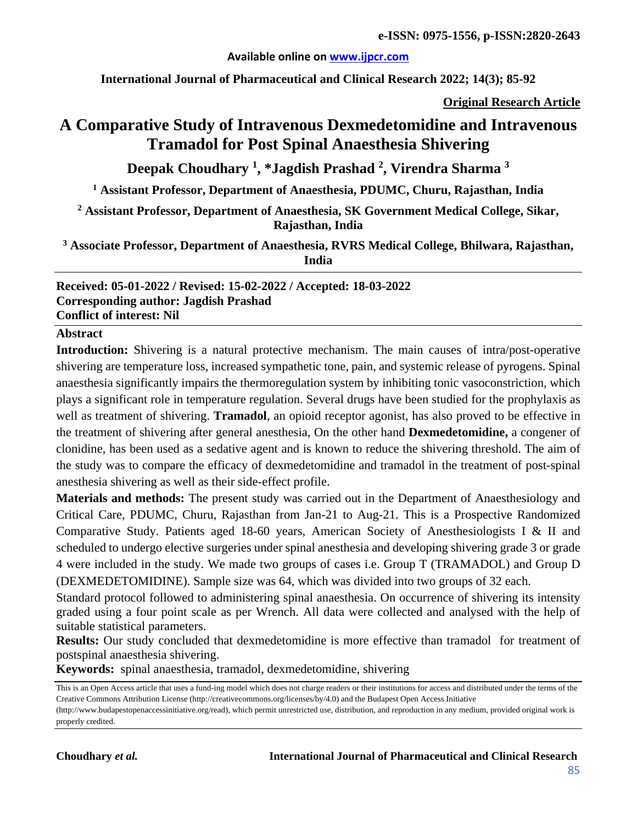### **Available online on [www.ijpcr.com](http://www.ijpcr.com/)**

**International Journal of Pharmaceutical and Clinical Research 2022; 14(3); 85-92**

**Original Research Article**

# **A Comparative Study of Intravenous Dexmedetomidine and Intravenous Tramadol for Post Spinal Anaesthesia Shivering**

**Deepak Choudhary 1 , \*Jagdish Prashad 2 , Virendra Sharma 3**

**<sup>1</sup> Assistant Professor, Department of Anaesthesia, PDUMC, Churu, Rajasthan, India**

**<sup>2</sup> Assistant Professor, Department of Anaesthesia, SK Government Medical College, Sikar, Rajasthan, India**

**<sup>3</sup> Associate Professor, Department of Anaesthesia, RVRS Medical College, Bhilwara, Rajasthan, India**

**Received: 05-01-2022 / Revised: 15-02-2022 / Accepted: 18-03-2022 Corresponding author: Jagdish Prashad Conflict of interest: Nil**

#### **Abstract**

**Introduction:** Shivering is a natural protective mechanism. The main causes of intra/post-operative shivering are temperature loss, increased sympathetic tone, pain, and systemic release of pyrogens. Spinal anaesthesia significantly impairs the thermoregulation system by inhibiting tonic vasoconstriction, which plays a significant role in temperature regulation. Several drugs have been studied for the prophylaxis as well as treatment of shivering. **Tramadol**, an opioid receptor agonist, has also proved to be effective in the treatment of shivering after general anesthesia, On the other hand **Dexmedetomidine,** a congener of clonidine, has been used as a sedative agent and is known to reduce the shivering threshold. The aim of the study was to compare the efficacy of dexmedetomidine and tramadol in the treatment of post-spinal anesthesia shivering as well as their side-effect profile.

**Materials and methods:** The present study was carried out in the Department of Anaesthesiology and Critical Care, PDUMC, Churu, Rajasthan from Jan-21 to Aug-21. This is a Prospective Randomized Comparative Study. Patients aged 18-60 years, American Society of Anesthesiologists I & II and scheduled to undergo elective surgeries under spinal anesthesia and developing shivering grade 3 or grade 4 were included in the study. We made two groups of cases i.e. Group T (TRAMADOL) and Group D (DEXMEDETOMIDINE). Sample size was 64, which was divided into two groups of 32 each.

Standard protocol followed to administering spinal anaesthesia. On occurrence of shivering its intensity graded using a four point scale as per Wrench. All data were collected and analysed with the help of suitable statistical parameters.

**Results:** Our study concluded that dexmedetomidine is more effective than tramadol for treatment of postspinal anaesthesia shivering.

**Keywords:** spinal anaesthesia, tramadol, dexmedetomidine, shivering

This is an Open Access article that uses a fund-ing model which does not charge readers or their institutions for access and distributed under the terms of the Creative Commons Attribution License (http://creativecommons.org/licenses/by/4.0) and the Budapest Open Access Initiative (http://www.budapestopenaccessinitiative.org/read), which permit unrestricted use, distribution, and reproduction in any medium, provided original work is properly credited.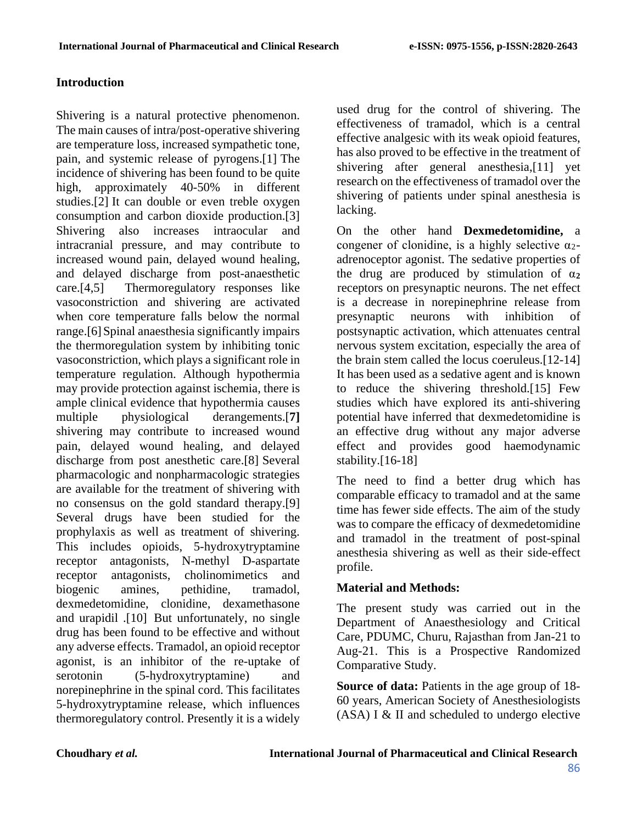# **Introduction**

Shivering is a natural protective phenomenon. The main causes of intra/post-operative shivering are temperature loss, increased sympathetic tone, pain, and systemic release of pyrogens.[1] The incidence of shivering has been found to be quite high, approximately 40-50% in different studies.[2] It can double or even treble oxygen consumption and carbon dioxide production.[3] Shivering also increases intraocular and intracranial pressure, and may contribute to increased wound pain, delayed wound healing, and delayed discharge from post-anaesthetic care. $[4.5]$  Thermoregulatory responses like vasoconstriction and shivering are activated when core temperature falls below the normal range.[6]Spinal anaesthesia significantly impairs the thermoregulation system by inhibiting tonic vasoconstriction, which plays a significant role in temperature regulation. Although hypothermia may provide protection against ischemia, there is ample clinical evidence that hypothermia causes multiple physiological derangements.[**7]** shivering may contribute to increased wound pain, delayed wound healing, and delayed discharge from post anesthetic care.[8] Several pharmacologic and nonpharmacologic strategies are available for the treatment of shivering with no consensus on the gold standard therapy.[9] Several drugs have been studied for the prophylaxis as well as treatment of shivering. This includes opioids, 5-hydroxytryptamine receptor antagonists, N-methyl D-aspartate receptor antagonists, cholinomimetics and biogenic amines, pethidine, tramadol, dexmedetomidine, clonidine, dexamethasone and urapidil .[10] But unfortunately, no single drug has been found to be effective and without any adverse effects. Tramadol, an opioid receptor agonist, is an inhibitor of the re-uptake of serotonin (5-hydroxytryptamine) and norepinephrine in the spinal cord. This facilitates 5-hydroxytryptamine release, which influences thermoregulatory control. Presently it is a widely

used drug for the control of shivering. The effectiveness of tramadol, which is a central effective analgesic with its weak opioid features, has also proved to be effective in the treatment of shivering after general anesthesia,[11] yet research on the effectiveness of tramadol over the shivering of patients under spinal anesthesia is lacking.

On the other hand **Dexmedetomidine,** a congener of clonidine, is a highly selective  $\alpha_2$ adrenoceptor agonist. The sedative properties of the drug are produced by stimulation of  $\alpha_2$ receptors on presynaptic neurons. The net effect is a decrease in norepinephrine release from presynaptic neurons with inhibition of postsynaptic activation, which attenuates central nervous system excitation, especially the area of the brain stem called the locus coeruleus.[12-14] It has been used as a sedative agent and is known to reduce the shivering threshold.[15] Few studies which have explored its anti-shivering potential have inferred that dexmedetomidine is an effective drug without any major adverse effect and provides good haemodynamic stability.[16-18]

The need to find a better drug which has comparable efficacy to tramadol and at the same time has fewer side effects. The aim of the study was to compare the efficacy of dexmedetomidine and tramadol in the treatment of post-spinal anesthesia shivering as well as their side-effect profile.

# **Material and Methods:**

The present study was carried out in the Department of Anaesthesiology and Critical Care, PDUMC, Churu, Rajasthan from Jan-21 to Aug-21. This is a Prospective Randomized Comparative Study.

**Source of data:** Patients in the age group of 18- 60 years, American Society of Anesthesiologists (ASA) I & II and scheduled to undergo elective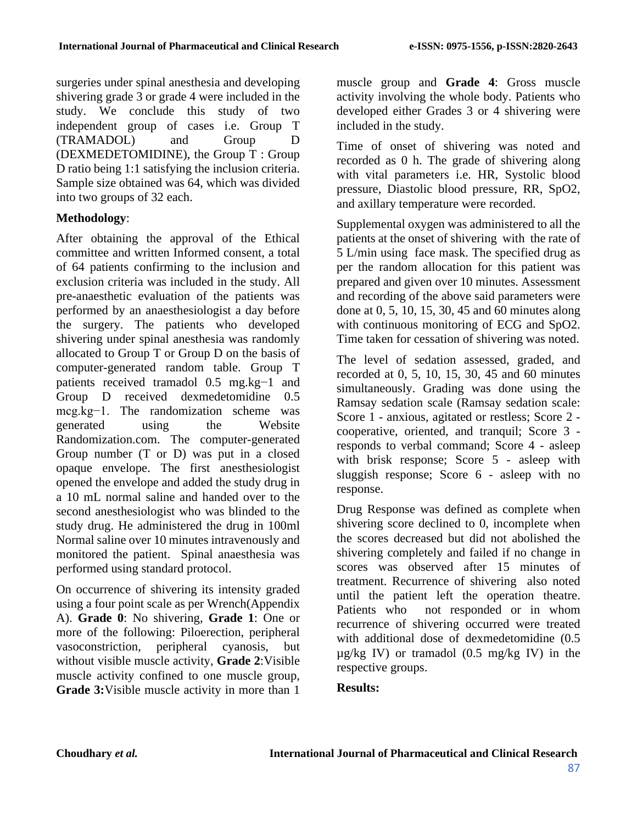surgeries under spinal anesthesia and developing shivering grade 3 or grade 4 were included in the study. We conclude this study of two independent group of cases i.e. Group T (TRAMADOL) and Group D (DEXMEDETOMIDINE), the Group T : Group D ratio being 1:1 satisfying the inclusion criteria. Sample size obtained was 64, which was divided into two groups of 32 each.

# **Methodology**:

After obtaining the approval of the Ethical committee and written Informed consent, a total of 64 patients confirming to the inclusion and exclusion criteria was included in the study. All pre-anaesthetic evaluation of the patients was performed by an anaesthesiologist a day before the surgery. The patients who developed shivering under spinal anesthesia was randomly allocated to Group T or Group D on the basis of computer-generated random table. Group T patients received tramadol 0.5 mg.kg−1 and Group D received dexmedetomidine 0.5 mcg.kg−1. The randomization scheme was generated using the Website Randomization.com. The computer-generated Group number (T or D) was put in a closed opaque envelope. The first anesthesiologist opened the envelope and added the study drug in a 10 mL normal saline and handed over to the second anesthesiologist who was blinded to the study drug. He administered the drug in 100ml Normal saline over 10 minutes intravenously and monitored the patient. Spinal anaesthesia was performed using standard protocol.

On occurrence of shivering its intensity graded using a four point scale as per Wrench(Appendix A). **Grade 0**: No shivering, **Grade 1**: One or more of the following: Piloerection, peripheral vasoconstriction, peripheral cyanosis, but without visible muscle activity, **Grade 2**:Visible muscle activity confined to one muscle group, **Grade 3:**Visible muscle activity in more than 1

muscle group and **Grade 4**: Gross muscle activity involving the whole body. Patients who developed either Grades 3 or 4 shivering were included in the study.

Time of onset of shivering was noted and recorded as 0 h. The grade of shivering along with vital parameters i.e. HR, Systolic blood pressure, Diastolic blood pressure, RR, SpO2, and axillary temperature were recorded.

Supplemental oxygen was administered to all the patients at the onset of shivering with the rate of 5 L/min using face mask. The specified drug as per the random allocation for this patient was prepared and given over 10 minutes. Assessment and recording of the above said parameters were done at 0, 5, 10, 15, 30, 45 and 60 minutes along with continuous monitoring of ECG and SpO2. Time taken for cessation of shivering was noted.

The level of sedation assessed, graded, and recorded at 0, 5, 10, 15, 30, 45 and 60 minutes simultaneously. Grading was done using the Ramsay sedation scale (Ramsay sedation scale: Score 1 - anxious, agitated or restless; Score 2 cooperative, oriented, and tranquil; Score 3 responds to verbal command; Score 4 - asleep with brisk response; Score 5 - asleep with sluggish response; Score 6 - asleep with no response.

Drug Response was defined as complete when shivering score declined to 0, incomplete when the scores decreased but did not abolished the shivering completely and failed if no change in scores was observed after 15 minutes of treatment. Recurrence of shivering also noted until the patient left the operation theatre. Patients who not responded or in whom recurrence of shivering occurred were treated with additional dose of dexmedetomidine (0.5  $\mu$ g/kg IV) or tramadol (0.5 mg/kg IV) in the respective groups.

# **Results:**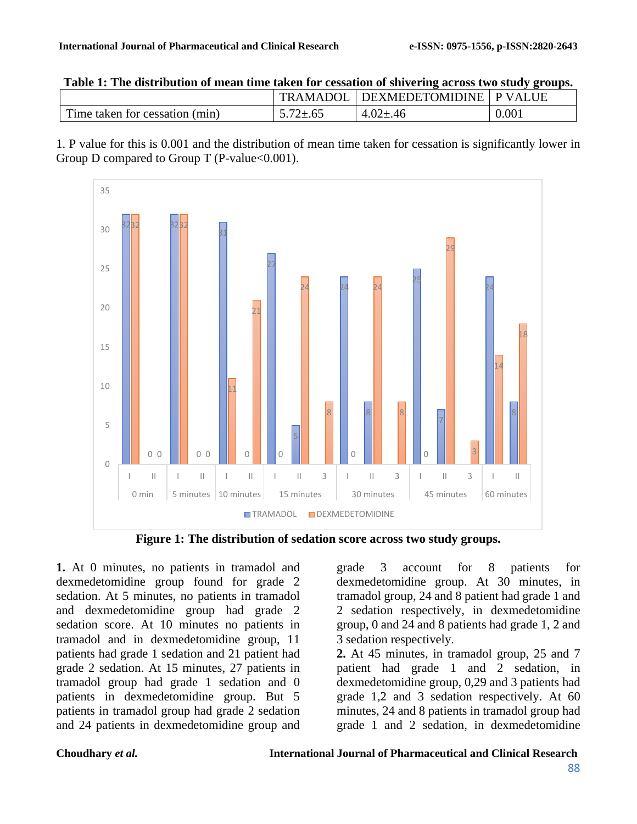|                                | <b>TRAMADOL</b> | DEXMEDETOMIDINE   P VALUE |       |
|--------------------------------|-----------------|---------------------------|-------|
| Time taken for cessation (min) | $5.72 \pm .65$  | $4.02 \pm .46$            | 0.001 |

1. P value for this is 0.001 and the distribution of mean time taken for cessation is significantly lower in Group D compared to Group T (P-value  $< 0.001$ ).



**Figure 1: The distribution of sedation score across two study groups.**

**1.** At 0 minutes, no patients in tramadol and dexmedetomidine group found for grade 2 sedation. At 5 minutes, no patients in tramadol and dexmedetomidine group had grade 2 sedation score. At 10 minutes no patients in tramadol and in dexmedetomidine group, 11 patients had grade 1 sedation and 21 patient had grade 2 sedation. At 15 minutes, 27 patients in tramadol group had grade 1 sedation and 0 patients in dexmedetomidine group. But 5 patients in tramadol group had grade 2 sedation and 24 patients in dexmedetomidine group and

grade 3 account for 8 patients for dexmedetomidine group. At 30 minutes, in tramadol group, 24 and 8 patient had grade 1 and 2 sedation respectively, in dexmedetomidine group, 0 and 24 and 8 patients had grade 1, 2 and 3 sedation respectively.

**2.** At 45 minutes, in tramadol group, 25 and 7 patient had grade 1 and 2 sedation, in dexmedetomidine group, 0,29 and 3 patients had grade 1,2 and 3 sedation respectively. At 60 minutes, 24 and 8 patients in tramadol group had grade 1 and 2 sedation, in dexmedetomidine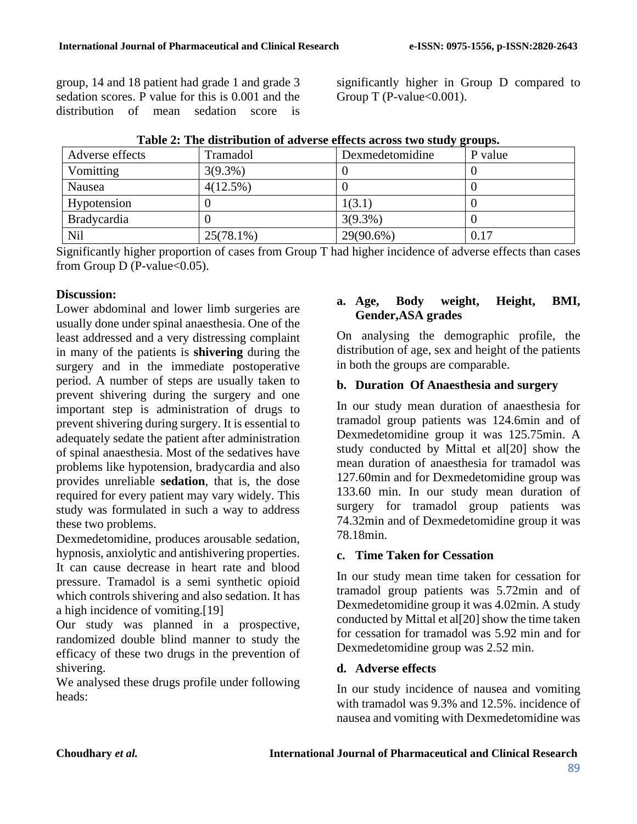group, 14 and 18 patient had grade 1 and grade 3 sedation scores. P value for this is 0.001 and the distribution of mean sedation score is significantly higher in Group D compared to Group T (P-value $< 0.001$ ).

| Adverse effects    | Tramadol     | Dexmedetomidine | P value |
|--------------------|--------------|-----------------|---------|
| Vomitting          | $3(9.3\%)$   |                 |         |
| Nausea             | 4(12.5%)     |                 |         |
| Hypotension        |              | 1(3.1)          |         |
| <b>Bradycardia</b> |              | $3(9.3\%)$      |         |
| Nil                | $25(78.1\%)$ | 29(90.6%)       | 0.17    |

Significantly higher proportion of cases from Group T had higher incidence of adverse effects than cases from Group D (P-value $<0.05$ ).

### **Discussion:**

Lower abdominal and lower limb surgeries are usually done under spinal anaesthesia. One of the least addressed and a very distressing complaint in many of the patients is **shivering** during the surgery and in the immediate postoperative period. A number of steps are usually taken to prevent shivering during the surgery and one important step is administration of drugs to prevent shivering during surgery. It is essential to adequately sedate the patient after administration of spinal anaesthesia. Most of the sedatives have problems like hypotension, bradycardia and also provides unreliable **sedation**, that is, the dose required for every patient may vary widely. This study was formulated in such a way to address these two problems.

Dexmedetomidine, produces arousable sedation,

hypnosis, anxiolytic and antishivering properties. It can cause decrease in heart rate and blood pressure. Tramadol is a semi synthetic opioid which controls shivering and also sedation. It has a high incidence of vomiting.[19]

Our study was planned in a prospective, randomized double blind manner to study the efficacy of these two drugs in the prevention of shivering.

We analysed these drugs profile under following heads:

#### **a. Age, Body weight, Height, BMI, Gender,ASA grades**

On analysing the demographic profile, the distribution of age, sex and height of the patients in both the groups are comparable.

### **b. Duration Of Anaesthesia and surgery**

In our study mean duration of anaesthesia for tramadol group patients was 124.6min and of Dexmedetomidine group it was 125.75min. A study conducted by Mittal et al[20] show the mean duration of anaesthesia for tramadol was 127.60min and for Dexmedetomidine group was 133.60 min. In our study mean duration of surgery for tramadol group patients was 74.32min and of Dexmedetomidine group it was 78.18min.

# **c. Time Taken for Cessation**

In our study mean time taken for cessation for tramadol group patients was 5.72min and of Dexmedetomidine group it was 4.02min. A study conducted by Mittal et al[20] show the time taken for cessation for tramadol was 5.92 min and for Dexmedetomidine group was 2.52 min.

# **d. Adverse effects**

In our study incidence of nausea and vomiting with tramadol was 9.3% and 12.5%. incidence of nausea and vomiting with Dexmedetomidine was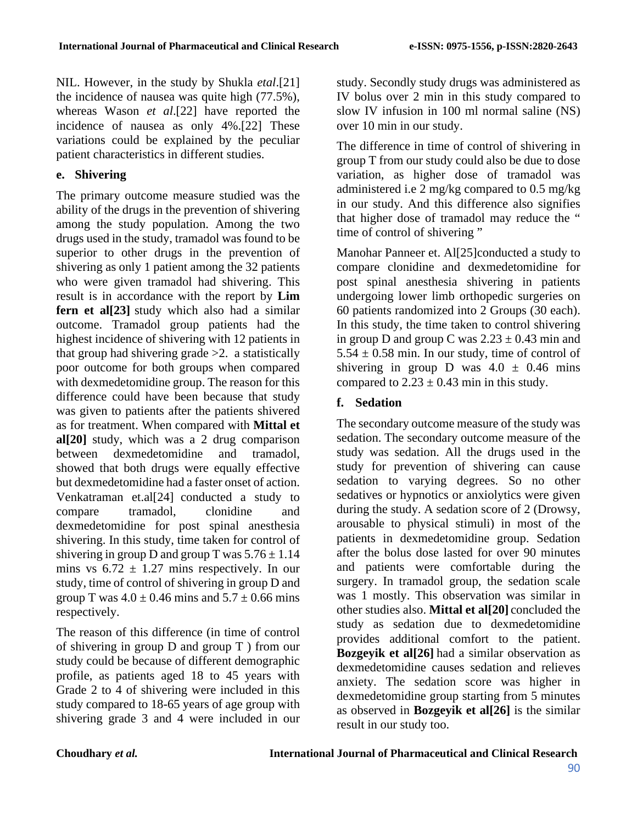NIL. However, in the study by Shukla *etal*.[21] the incidence of nausea was quite high (77.5%), whereas Wason *et al*.[22] have reported the incidence of nausea as only 4%.[22] These variations could be explained by the peculiar patient characteristics in different studies.

### **e. Shivering**

The primary outcome measure studied was the ability of the drugs in the prevention of shivering among the study population. Among the two drugs used in the study, tramadol was found to be superior to other drugs in the prevention of shivering as only 1 patient among the 32 patients who were given tramadol had shivering. This result is in accordance with the report by **Lim fern et al[23]** study which also had a similar outcome. Tramadol group patients had the highest incidence of shivering with 12 patients in that group had shivering grade >2. a statistically poor outcome for both groups when compared with dexmedetomidine group. The reason for this difference could have been because that study was given to patients after the patients shivered as for treatment. When compared with **Mittal et al[20]** study, which was a 2 drug comparison between dexmedetomidine and tramadol, showed that both drugs were equally effective but dexmedetomidine had a faster onset of action. Venkatraman et.al[24] conducted a study to compare tramadol, clonidine and dexmedetomidine for post spinal anesthesia shivering. In this study, time taken for control of shivering in group D and group T was  $5.76 \pm 1.14$ mins vs  $6.72 \pm 1.27$  mins respectively. In our study, time of control of shivering in group D and group T was  $4.0 \pm 0.46$  mins and  $5.7 \pm 0.66$  mins respectively.

The reason of this difference (in time of control of shivering in group D and group T ) from our study could be because of different demographic profile, as patients aged 18 to 45 years with Grade 2 to 4 of shivering were included in this study compared to 18-65 years of age group with shivering grade 3 and 4 were included in our

study. Secondly study drugs was administered as IV bolus over 2 min in this study compared to slow IV infusion in 100 ml normal saline (NS) over 10 min in our study.

The difference in time of control of shivering in group T from our study could also be due to dose variation, as higher dose of tramadol was administered i.e 2 mg/kg compared to 0.5 mg/kg in our study. And this difference also signifies that higher dose of tramadol may reduce the " time of control of shivering"

Manohar Panneer et. Al[25]conducted a study to compare clonidine and dexmedetomidine for post spinal anesthesia shivering in patients undergoing lower limb orthopedic surgeries on 60 patients randomized into 2 Groups (30 each). In this study, the time taken to control shivering in group D and group C was  $2.23 \pm 0.43$  min and  $5.54 \pm 0.58$  min. In our study, time of control of shivering in group D was  $4.0 \pm 0.46$  mins compared to  $2.23 \pm 0.43$  min in this study.

# **f. Sedation**

The secondary outcome measure of the study was sedation. The secondary outcome measure of the study was sedation. All the drugs used in the study for prevention of shivering can cause sedation to varying degrees. So no other sedatives or hypnotics or anxiolytics were given during the study. A sedation score of 2 (Drowsy, arousable to physical stimuli) in most of the patients in dexmedetomidine group. Sedation after the bolus dose lasted for over 90 minutes and patients were comfortable during the surgery. In tramadol group, the sedation scale was 1 mostly. This observation was similar in other studies also. **Mittal et al[20]** concluded the study as sedation due to dexmedetomidine provides additional comfort to the patient. **Bozgeyik et al[26]** had a similar observation as dexmedetomidine causes sedation and relieves anxiety. The sedation score was higher in dexmedetomidine group starting from 5 minutes as observed in **Bozgeyik et al[26]** is the similar result in our study too.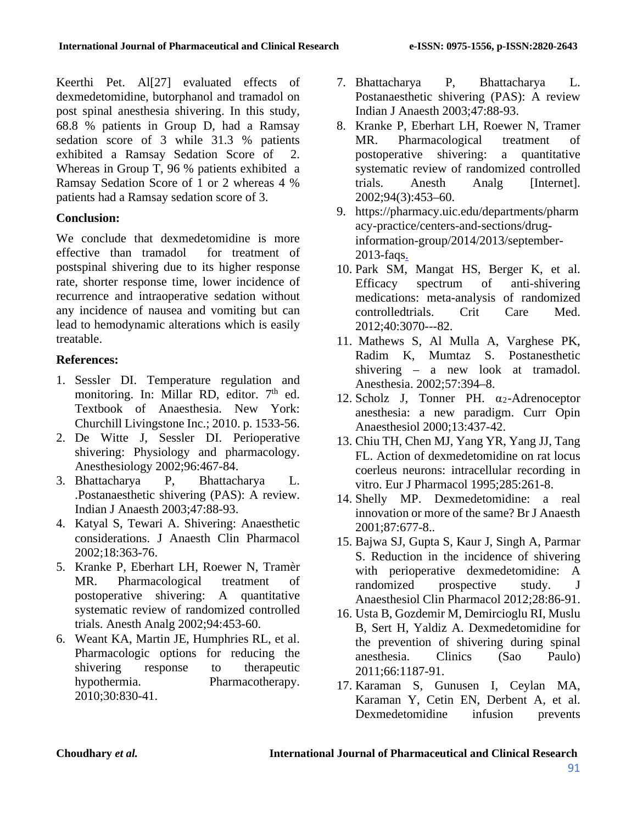Keerthi Pet. Al[27] evaluated effects of dexmedetomidine, butorphanol and tramadol on post spinal anesthesia shivering. In this study, 68.8 % patients in Group D, had a Ramsay sedation score of 3 while 31.3 % patients exhibited a Ramsay Sedation Score of 2. Whereas in Group T, 96 % patients exhibited a Ramsay Sedation Score of 1 or 2 whereas 4 % patients had a Ramsay sedation score of 3.

# **Conclusion:**

We conclude that dexmedetomidine is more effective than tramadol for treatment of postspinal shivering due to its higher response rate, shorter response time, lower incidence of recurrence and intraoperative sedation without any incidence of nausea and vomiting but can lead to hemodynamic alterations which is easily treatable.

# **References:**

- 1. Sessler DI. Temperature regulation and monitoring. In: Millar RD, editor.  $7<sup>th</sup>$  ed. Textbook of Anaesthesia. New York: Churchill Livingstone Inc.; 2010. p. 1533-56.
- 2. De Witte J, Sessler DI. Perioperative shivering: Physiology and pharmacology. Anesthesiology 2002;96:467-84.
- 3. Bhattacharya P, Bhattacharya L. .Postanaesthetic shivering (PAS): A review. Indian J Anaesth 2003;47:88-93.
- 4. Katyal S, Tewari A. Shivering: Anaesthetic considerations. J Anaesth Clin Pharmacol 2002;18:363-76.
- 5. Kranke P, Eberhart LH, Roewer N, Tramèr MR. Pharmacological treatment of postoperative shivering: A quantitative systematic review of randomized controlled trials. Anesth Analg 2002;94:453-60.
- 6. Weant KA, Martin JE, Humphries RL, et al. Pharmacologic options for reducing the shivering response to therapeutic hypothermia. Pharmacotherapy. 2010;30:830-41.
- 7. Bhattacharya P, Bhattacharya L. Postanaesthetic shivering (PAS): A review Indian J Anaesth 2003;47:88-93.
- 8. Kranke P, Eberhart LH, Roewer N, Tramer MR. Pharmacological treatment of postoperative shivering: a quantitative systematic review of randomized controlled trials. Anesth Analg [Internet]. 2002;94(3):453–60.
- 9. https://pharmacy.uic.edu/departments/pharm acy-practice/centers-and-sections/druginformation-group/2014/2013/september-2013-faqs.
- 10. Park SM, Mangat HS, Berger K, et al. Efficacy spectrum of anti-shivering medications: meta-analysis of randomized controlledtrials. Crit Care Med. 2012;40:3070---82.
- 11. Mathews S, Al Mulla A, Varghese PK, Radim K, Mumtaz S. Postanesthetic shivering – a new look at tramadol. Anesthesia. 2002;57:394–8.
- 12. Scholz J, Tonner PH. α2-Adrenoceptor anesthesia: a new paradigm. Curr Opin Anaesthesiol 2000;13:437-42.
- 13. Chiu TH, Chen MJ, Yang YR, Yang JJ, Tang FL. Action of dexmedetomidine on rat locus coerleus neurons: intracellular recording in vitro. Eur J Pharmacol 1995;285:261-8.
- 14. Shelly MP. Dexmedetomidine: a real innovation or more of the same? Br J Anaesth 2001;87:677-8..
- 15. Bajwa SJ, Gupta S, Kaur J, Singh A, Parmar S. Reduction in the incidence of shivering with perioperative dexmedetomidine: A randomized prospective study. J Anaesthesiol Clin Pharmacol 2012;28:86-91.
- 16. Usta B, Gozdemir M, Demircioglu RI, Muslu B, Sert H, Yaldiz A. Dexmedetomidine for the prevention of shivering during spinal anesthesia. Clinics (Sao Paulo) 2011;66:1187-91.
- 17. Karaman S, Gunusen I, Ceylan MA, Karaman Y, Cetin EN, Derbent A, et al. Dexmedetomidine infusion prevents